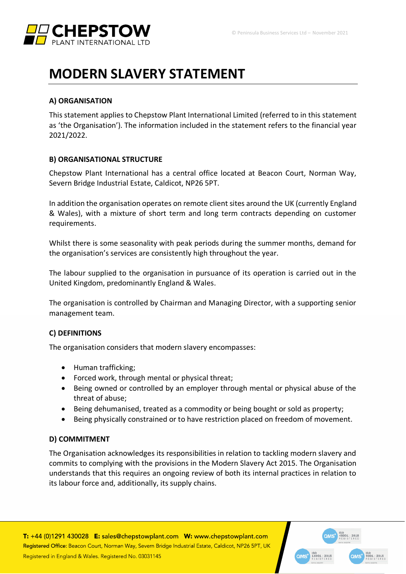

# **MODERN SLAVERY STATEMENT**

#### **A) ORGANISATION**

This statement applies to Chepstow Plant International Limited (referred to in this statement as 'the Organisation'). The information included in the statement refers to the financial year 2021/2022.

## **B) ORGANISATIONAL STRUCTURE**

Chepstow Plant International has a central office located at Beacon Court, Norman Way, Severn Bridge Industrial Estate, Caldicot, NP26 5PT.

In addition the organisation operates on remote client sites around the UK (currently England & Wales), with a mixture of short term and long term contracts depending on customer requirements.

Whilst there is some seasonality with peak periods during the summer months, demand for the organisation's services are consistently high throughout the year.

The labour supplied to the organisation in pursuance of its operation is carried out in the United Kingdom, predominantly England & Wales.

The organisation is controlled by Chairman and Managing Director, with a supporting senior management team.

## **C) DEFINITIONS**

The organisation considers that modern slavery encompasses:

- Human trafficking;
- Forced work, through mental or physical threat;
- Being owned or controlled by an employer through mental or physical abuse of the threat of abuse;
- Being dehumanised, treated as a commodity or being bought or sold as property;
- Being physically constrained or to have restriction placed on freedom of movement.

#### **D) COMMITMENT**

The Organisation acknowledges its responsibilities in relation to tackling modern slavery and commits to complying with the provisions in the Modern Slavery Act 2015. The Organisation understands that this requires an ongoing review of both its internal practices in relation to its labour force and, additionally, its supply chains.

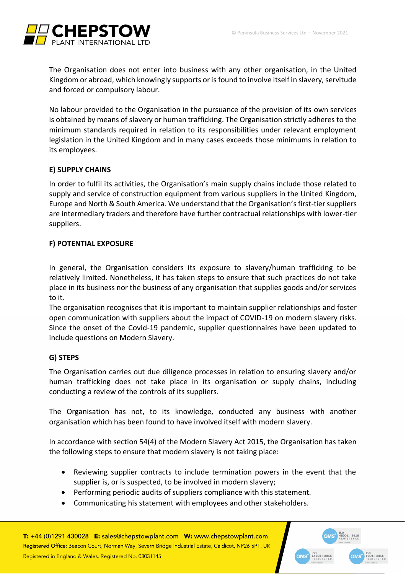

The Organisation does not enter into business with any other organisation, in the United Kingdom or abroad, which knowingly supports or is found to involve itself in slavery, servitude and forced or compulsory labour.

No labour provided to the Organisation in the pursuance of the provision of its own services is obtained by means of slavery or human trafficking. The Organisation strictly adheres to the minimum standards required in relation to its responsibilities under relevant employment legislation in the United Kingdom and in many cases exceeds those minimums in relation to its employees.

## **E) SUPPLY CHAINS**

In order to fulfil its activities, the Organisation's main supply chains include those related to supply and service of construction equipment from various suppliers in the United Kingdom, Europe and North & South America. We understand that the Organisation's first-tier suppliers are intermediary traders and therefore have further contractual relationships with lower-tier suppliers.

## **F) POTENTIAL EXPOSURE**

In general, the Organisation considers its exposure to slavery/human trafficking to be relatively limited. Nonetheless, it has taken steps to ensure that such practices do not take place in its business nor the business of any organisation that supplies goods and/or services to it.

The organisation recognises that it is important to maintain supplier relationships and foster open communication with suppliers about the impact of COVID-19 on modern slavery risks. Since the onset of the Covid-19 pandemic, supplier questionnaires have been updated to include questions on Modern Slavery.

## **G) STEPS**

The Organisation carries out due diligence processes in relation to ensuring slavery and/or human trafficking does not take place in its organisation or supply chains, including conducting a review of the controls of its suppliers.

The Organisation has not, to its knowledge, conducted any business with another organisation which has been found to have involved itself with modern slavery.

In accordance with section 54(4) of the Modern Slavery Act 2015, the Organisation has taken the following steps to ensure that modern slavery is not taking place:

- Reviewing supplier contracts to include termination powers in the event that the supplier is, or is suspected, to be involved in modern slavery;
- Performing periodic audits of suppliers compliance with this statement.
- Communicating his statement with employees and other stakeholders.